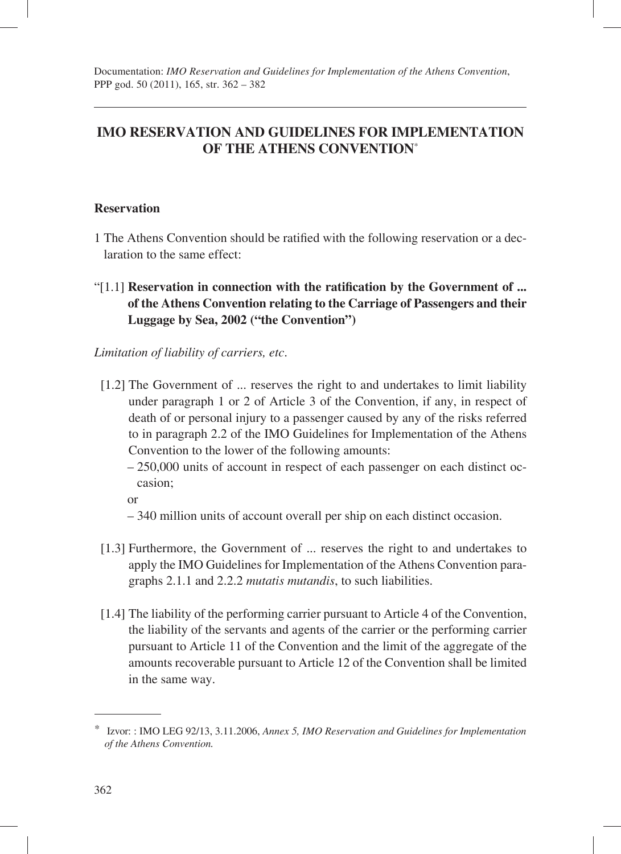# **IMO RESERVATION AND GUIDELINES FOR IMPLEMENTATION OF THE ATHENS CONVENTION**\*

#### **Reservation**

- 1 The Athens Convention should be ratified with the following reservation or a declaration to the same effect:
- "[1.1] **Reservation in connection with the ratification by the Government of ... of the Athens Convention relating to the Carriage of Passengers and their Luggage by Sea, 2002 ("the Convention")**

#### *Limitation of liability of carriers, etc*.

- [1.2] The Government of ... reserves the right to and undertakes to limit liability under paragraph 1 or 2 of Article 3 of the Convention, if any, in respect of death of or personal injury to a passenger caused by any of the risks referred to in paragraph 2.2 of the IMO Guidelines for Implementation of the Athens Convention to the lower of the following amounts:
	- 250,000 units of account in respect of each passenger on each distinct occasion;

- 340 million units of account overall per ship on each distinct occasion.
- [1.3] Furthermore, the Government of ... reserves the right to and undertakes to apply the IMO Guidelines for Implementation of the Athens Convention paragraphs 2.1.1 and 2.2.2 *mutatis mutandis*, to such liabilities.
- [1.4] The liability of the performing carrier pursuant to Article 4 of the Convention, the liability of the servants and agents of the carrier or the performing carrier pursuant to Article 11 of the Convention and the limit of the aggregate of the amounts recoverable pursuant to Article 12 of the Convention shall be limited in the same way.

or

<sup>\*</sup> Izvor: : IMO LEG 92/13, 3.11.2006, *Annex 5, IMO Reservation and Guidelines for Implementation of the Athens Convention.*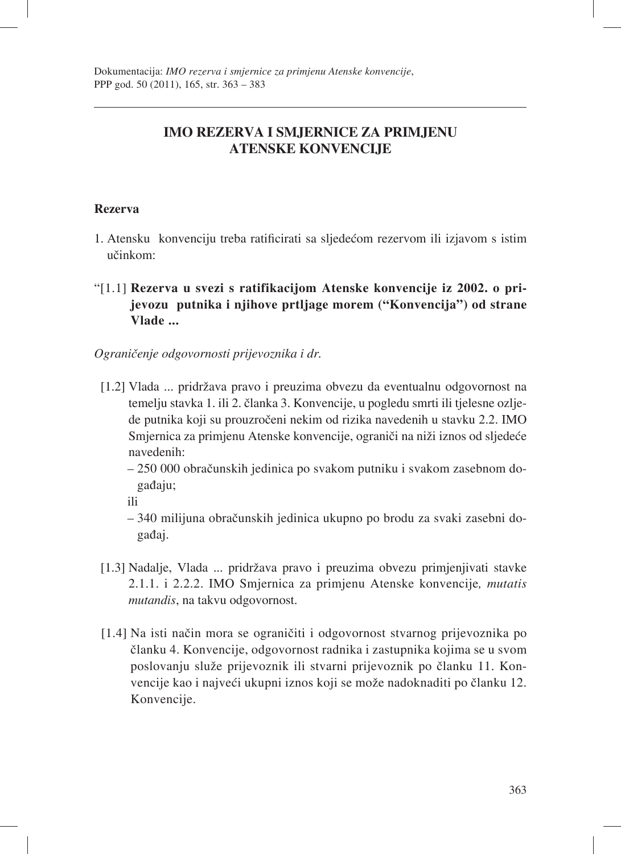# **IMO REZERVA I SMJERNICE ZA PRIMJENU ATENSKE KONVENCIJE**

### **Rezerva**

- 1. Atensku konvenciju treba ratificirati sa sljedećom rezervom ili izjavom s istim učinkom:
- "[1.1] **Rezerva u svezi s ratifikacijom Atenske konvencije iz 2002. o prijevozu putnika i njihove prtljage morem ("Konvencija") od strane Vlade ...**

*Ograničenje odgovornosti prijevoznika i dr.*

- [1.2] Vlada ... pridržava pravo i preuzima obvezu da eventualnu odgovornost na temelju stavka 1. ili 2. članka 3. Konvencije, u pogledu smrti ili tjelesne ozljede putnika koji su prouzročeni nekim od rizika navedenih u stavku 2.2. IMO Smjernica za primjenu Atenske konvencije, ograniči na niži iznos od sljedeće navedenih:
	- 250 000 obračunskih jedinica po svakom putniku i svakom zasebnom događaju;

ili

- 340 milijuna obračunskih jedinica ukupno po brodu za svaki zasebni događaj.
- [1.3] Nadalje, Vlada ... pridržava pravo i preuzima obvezu primjenjivati stavke 2.1.1. i 2.2.2. IMO Smjernica za primjenu Atenske konvencije*, mutatis mutandis*, na takvu odgovornost.
- [1.4] Na isti način mora se ograničiti i odgovornost stvarnog prijevoznika po članku 4. Konvencije, odgovornost radnika i zastupnika kojima se u svom poslovanju služe prijevoznik ili stvarni prijevoznik po članku 11. Konvencije kao i najveći ukupni iznos koji se može nadoknaditi po članku 12. Konvencije.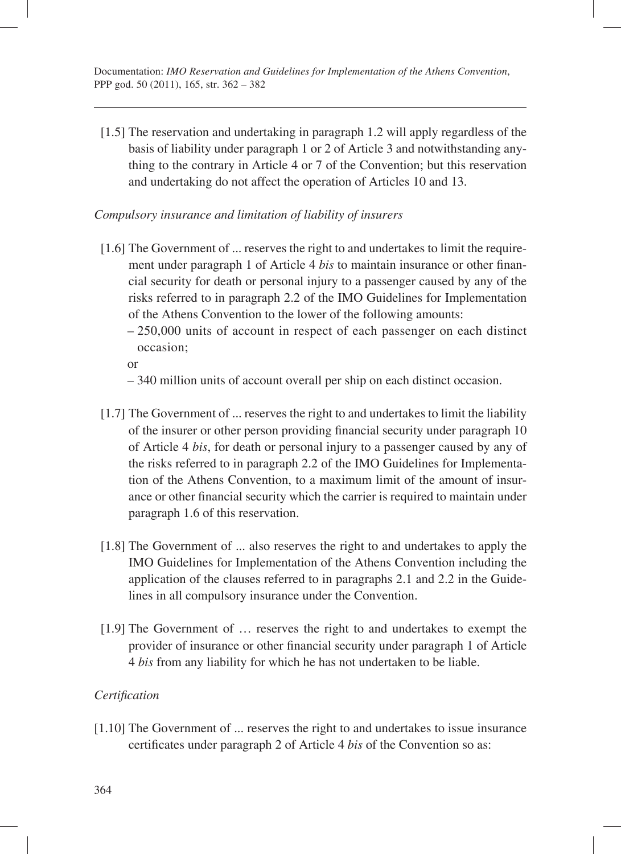[1.5] The reservation and undertaking in paragraph 1.2 will apply regardless of the basis of liability under paragraph 1 or 2 of Article 3 and notwithstanding anything to the contrary in Article 4 or 7 of the Convention; but this reservation and undertaking do not affect the operation of Articles 10 and 13.

#### *Compulsory insurance and limitation of liability of insurers*

- [1.6] The Government of ... reserves the right to and undertakes to limit the requirement under paragraph 1 of Article 4 *bis* to maintain insurance or other financial security for death or personal injury to a passenger caused by any of the risks referred to in paragraph 2.2 of the IMO Guidelines for Implementation of the Athens Convention to the lower of the following amounts:
	- 250,000 units of account in respect of each passenger on each distinct occasion;

or

- 340 million units of account overall per ship on each distinct occasion.
- [1.7] The Government of ... reserves the right to and undertakes to limit the liability of the insurer or other person providing financial security under paragraph 10 of Article 4 *bis*, for death or personal injury to a passenger caused by any of the risks referred to in paragraph 2.2 of the IMO Guidelines for Implementation of the Athens Convention, to a maximum limit of the amount of insurance or other financial security which the carrier is required to maintain under paragraph 1.6 of this reservation.
- [1.8] The Government of ... also reserves the right to and undertakes to apply the IMO Guidelines for Implementation of the Athens Convention including the application of the clauses referred to in paragraphs 2.1 and 2.2 in the Guidelines in all compulsory insurance under the Convention.
- [1.9] The Government of … reserves the right to and undertakes to exempt the provider of insurance or other financial security under paragraph 1 of Article 4 *bis* from any liability for which he has not undertaken to be liable.

#### *Certifi cation*

[1.10] The Government of ... reserves the right to and undertakes to issue insurance certificates under paragraph 2 of Article 4 *bis* of the Convention so as: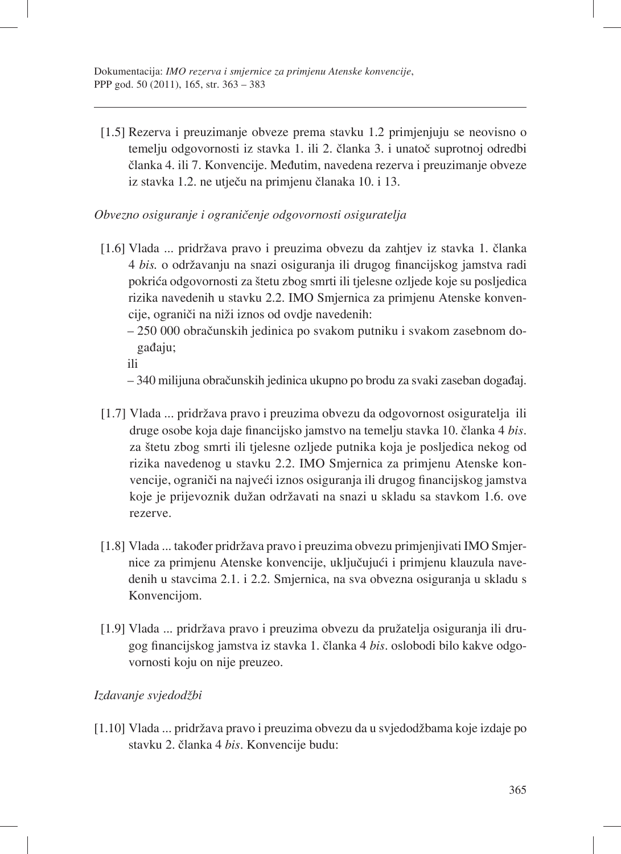[1.5] Rezerva i preuzimanje obveze prema stavku 1.2 primjenjuju se neovisno o temelju odgovornosti iz stavka 1. ili 2. članka 3. i unatoč suprotnoj odredbi članka 4. ili 7. Konvencije. Međutim, navedena rezerva i preuzimanje obveze iz stavka 1.2. ne utječu na primjenu članaka 10. i 13.

*Obvezno osiguranje i ograničenje odgovornosti osiguratelja*

- [1.6] Vlada ... pridržava pravo i preuzima obvezu da zahtjev iz stavka 1. članka 4 *bis.* o održavanju na snazi osiguranja ili drugog financijskog jamstva radi pokrića odgovornosti za štetu zbog smrti ili tjelesne ozljede koje su posljedica rizika navedenih u stavku 2.2. IMO Smjernica za primjenu Atenske konvencije, ograniči na niži iznos od ovdje navedenih:
	- 250 000 obračunskih jedinica po svakom putniku i svakom zasebnom događaju;

ili

- 340 milijuna obračunskih jedinica ukupno po brodu za svaki zaseban događaj.
- [1.7] Vlada ... pridržava pravo i preuzima obvezu da odgovornost osiguratelja ili druge osobe koja daje financijsko jamstvo na temelju stavka 10. članka 4 *bis*. za štetu zbog smrti ili tjelesne ozljede putnika koja je posljedica nekog od rizika navedenog u stavku 2.2. IMO Smjernica za primjenu Atenske konvencije, ograniči na najveći iznos osiguranja ili drugog financijskog jamstva koje je prijevoznik dužan održavati na snazi u skladu sa stavkom 1.6. ove rezerve.
- [1.8] Vlada ... također pridržava pravo i preuzima obvezu primjenjivati IMO Smjernice za primjenu Atenske konvencije, uključujući i primjenu klauzula navedenih u stavcima 2.1. i 2.2. Smjernica, na sva obvezna osiguranja u skladu s Konvencijom.
- [1.9] Vlada ... pridržava pravo i preuzima obvezu da pružatelja osiguranja ili drugog fi nancijskog jamstva iz stavka 1. članka 4 *bis*. oslobodi bilo kakve odgovornosti koju on nije preuzeo.

### *Izdavanje svjedodžbi*

[1.10] Vlada ... pridržava pravo i preuzima obvezu da u svjedodžbama koje izdaje po stavku 2. članka 4 *bis*. Konvencije budu: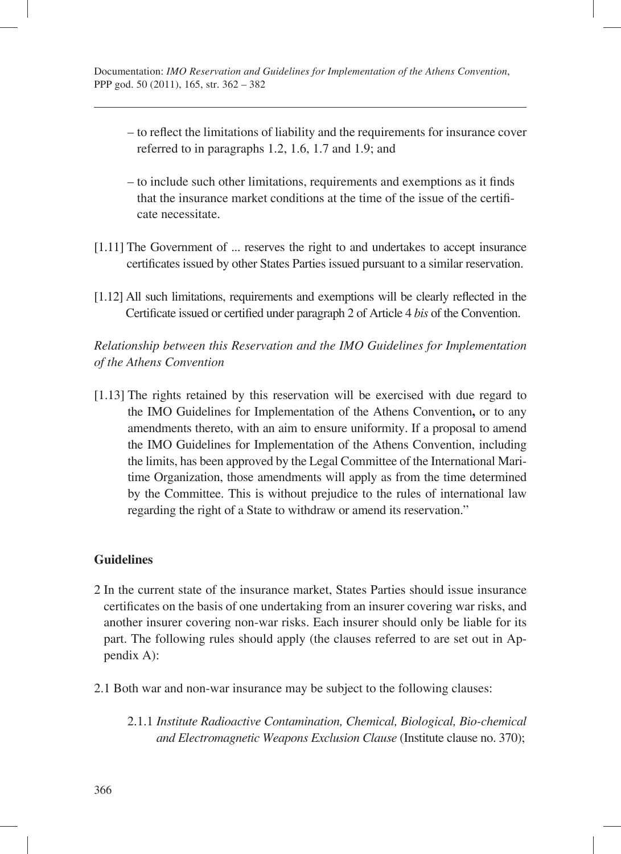- to reflect the limitations of liability and the requirements for insurance cover referred to in paragraphs 1.2, 1.6, 1.7 and 1.9; and
- $-$  to include such other limitations, requirements and exemptions as it finds that the insurance market conditions at the time of the issue of the certifi cate necessitate.
- [1.11] The Government of ... reserves the right to and undertakes to accept insurance certificates issued by other States Parties issued pursuant to a similar reservation.
- [1.12] All such limitations, requirements and exemptions will be clearly reflected in the Certificate issued or certified under paragraph 2 of Article 4 *bis* of the Convention.

*Relationship between this Reservation and the IMO Guidelines for Implementation of the Athens Convention* 

[1.13] The rights retained by this reservation will be exercised with due regard to the IMO Guidelines for Implementation of the Athens Convention**,** or to any amendments thereto, with an aim to ensure uniformity. If a proposal to amend the IMO Guidelines for Implementation of the Athens Convention, including the limits, has been approved by the Legal Committee of the International Maritime Organization, those amendments will apply as from the time determined by the Committee. This is without prejudice to the rules of international law regarding the right of a State to withdraw or amend its reservation."

### **Guidelines**

- 2 In the current state of the insurance market, States Parties should issue insurance certificates on the basis of one undertaking from an insurer covering war risks, and another insurer covering non-war risks. Each insurer should only be liable for its part. The following rules should apply (the clauses referred to are set out in Appendix A):
- 2.1 Both war and non-war insurance may be subject to the following clauses:
	- 2.1.1 *Institute Radioactive Contamination, Chemical, Biological, Bio-chemical and Electromagnetic Weapons Exclusion Clause* (Institute clause no. 370);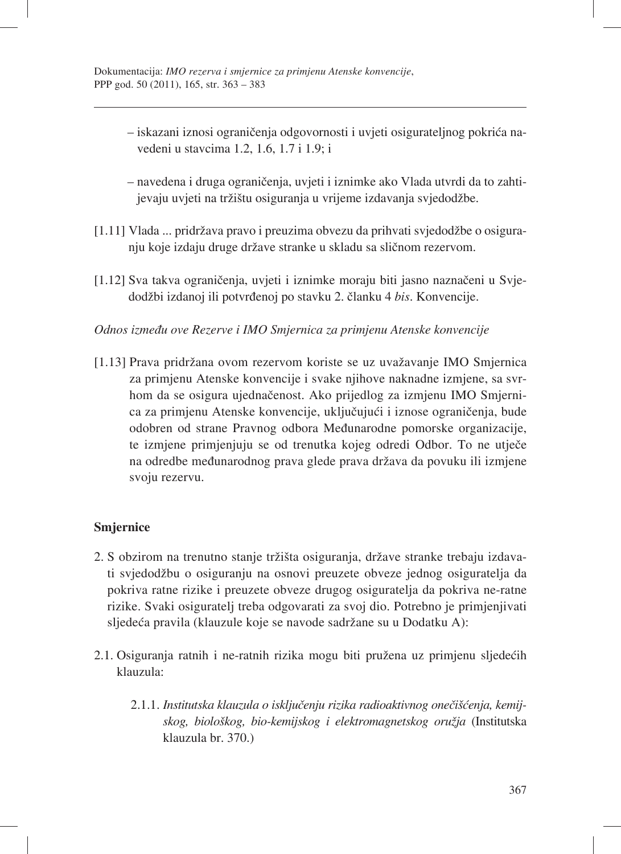- iskazani iznosi ograničenja odgovornosti i uvjeti osigurateljnog pokrića navedeni u stavcima 1.2, 1.6, 1.7 i 1.9; i
- navedena i druga ograničenja, uvjeti i iznimke ako Vlada utvrdi da to zahtijevaju uvjeti na tržištu osiguranja u vrijeme izdavanja svjedodžbe.
- [1.11] Vlada ... pridržava pravo i preuzima obvezu da prihvati svjedodžbe o osiguranju koje izdaju druge države stranke u skladu sa sličnom rezervom.
- [1.12] Sva takva ograničenja, uvjeti i iznimke moraju biti jasno naznačeni u Svjedodžbi izdanoj ili potvrđenoj po stavku 2. članku 4 *bis*. Konvencije.

## *Odnos između ove Rezerve i IMO Smjernica za primjenu Atenske konvencije*

[1.13] Prava pridržana ovom rezervom koriste se uz uvažavanje IMO Smjernica za primjenu Atenske konvencije i svake njihove naknadne izmjene, sa svrhom da se osigura ujednačenost. Ako prijedlog za izmjenu IMO Smjernica za primjenu Atenske konvencije, uključujući i iznose ograničenja, bude odobren od strane Pravnog odbora Međunarodne pomorske organizacije, te izmjene primjenjuju se od trenutka kojeg odredi Odbor. To ne utječe na odredbe međunarodnog prava glede prava država da povuku ili izmjene svoju rezervu.

### **Smjernice**

- 2. S obzirom na trenutno stanje tržišta osiguranja, države stranke trebaju izdavati svjedodžbu o osiguranju na osnovi preuzete obveze jednog osiguratelja da pokriva ratne rizike i preuzete obveze drugog osiguratelja da pokriva ne-ratne rizike. Svaki osiguratelj treba odgovarati za svoj dio. Potrebno je primjenjivati sljedeća pravila (klauzule koje se navode sadržane su u Dodatku A):
- 2.1. Osiguranja ratnih i ne-ratnih rizika mogu biti pružena uz primjenu sljedećih klauzula:
	- 2.1.1. *Institutska klauzula o isključenju rizika radioaktivnog onečišćenja, kemijskog, biološkog, bio-kemijskog i elektromagnetskog oružja* (Institutska klauzula br. 370.)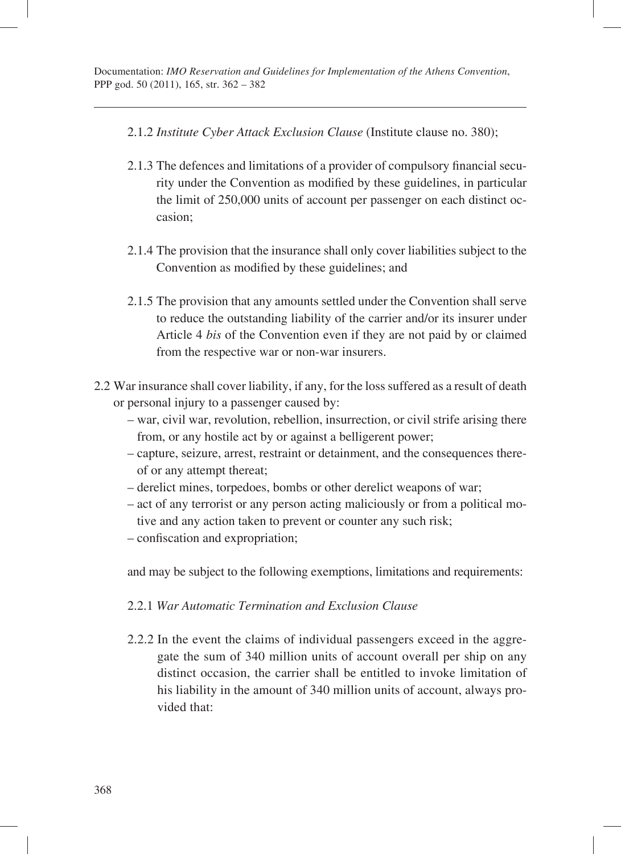- 2.1.2 *Institute Cyber Attack Exclusion Clause* (Institute clause no. 380);
- 2.1.3 The defences and limitations of a provider of compulsory financial security under the Convention as modified by these guidelines, in particular the limit of 250,000 units of account per passenger on each distinct occasion;
- 2.1.4 The provision that the insurance shall only cover liabilities subject to the Convention as modified by these guidelines; and
- 2.1.5 The provision that any amounts settled under the Convention shall serve to reduce the outstanding liability of the carrier and/or its insurer under Article 4 *bis* of the Convention even if they are not paid by or claimed from the respective war or non-war insurers.
- 2.2 War insurance shall cover liability, if any, for the loss suffered as a result of death or personal injury to a passenger caused by:
	- war, civil war, revolution, rebellion, insurrection, or civil strife arising there from, or any hostile act by or against a belligerent power;
	- capture, seizure, arrest, restraint or detainment, and the consequences thereof or any attempt thereat;
	- derelict mines, torpedoes, bombs or other derelict weapons of war;
	- act of any terrorist or any person acting maliciously or from a political motive and any action taken to prevent or counter any such risk;
	- confiscation and expropriation;

and may be subject to the following exemptions, limitations and requirements:

- 2.2.1 *War Automatic Termination and Exclusion Clause*
- 2.2.2 In the event the claims of individual passengers exceed in the aggregate the sum of 340 million units of account overall per ship on any distinct occasion, the carrier shall be entitled to invoke limitation of his liability in the amount of 340 million units of account, always provided that: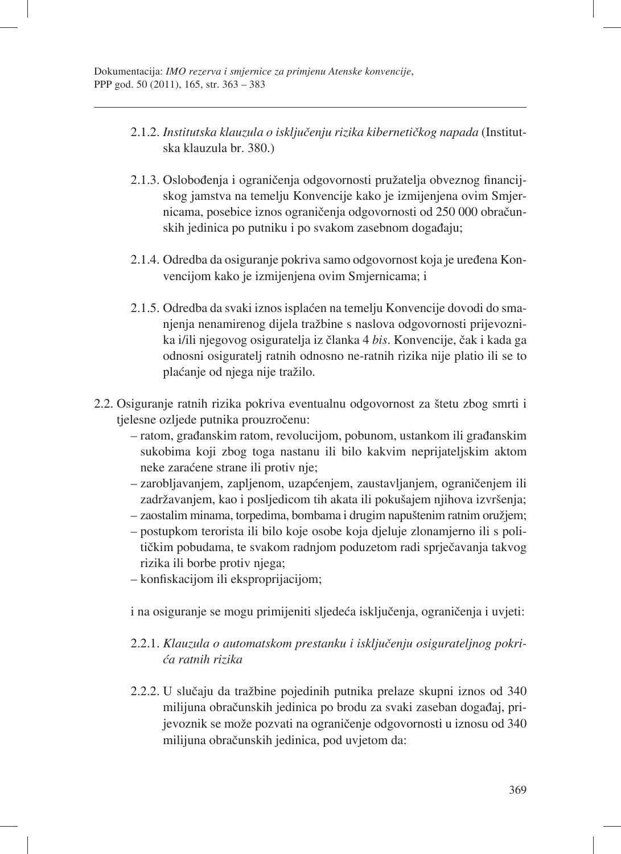- 2.1.2. *Institutska klauzula o isključenju rizika kibernetičkog napada* (Institutska klauzula br. 380.)
- 2.1.3. Oslobođenja i ograničenja odgovornosti pružatelja obveznog financijskog jamstva na temelju Konvencije kako je izmijenjena ovim Smjernicama, posebice iznos ograničenja odgovornosti od 250 000 obračunskih jedinica po putniku i po svakom zasebnom događaju;
- 2.1.4. Odredba da osiguranje pokriva samo odgovornost koja je uređena Konvencijom kako je izmijenjena ovim Smjernicama; i
- 2.1.5. Odredba da svaki iznos isplaćen na temelju Konvencije dovodi do smanjenja nenamirenog dijela tražbine s naslova odgovornosti prijevoznika i/ili njegovog osiguratelja iz članka 4 *bis*. Konvencije, čak i kada ga odnosni osiguratelj ratnih odnosno ne-ratnih rizika nije platio ili se to plaćanje od njega nije tražilo.
- 2.2. Osiguranje ratnih rizika pokriva eventualnu odgovornost za štetu zbog smrti i tjelesne ozljede putnika prouzročenu:
	- ratom, građanskim ratom, revolucijom, pobunom, ustankom ili građanskim sukobima koji zbog toga nastanu ili bilo kakvim neprijateljskim aktom neke zaraćene strane ili protiv nje;
	- zarobljavanjem, zapljenom, uzapćenjem, zaustavljanjem, ograničenjem ili zadržavanjem, kao i posljedicom tih akata ili pokušajem njihova izvršenja;
	- zaostalim minama, torpedima, bombama i drugim napuštenim ratnim oružjem;
	- postupkom terorista ili bilo koje osobe koja djeluje zlonamjerno ili s političkim pobudama, te svakom radnjom poduzetom radi sprječavanja takvog rizika ili borbe protiv njega;
	- konfi skacijom ili eksproprijacijom;

i na osiguranje se mogu primijeniti sljedeća isključenja, ograničenja i uvjeti:

- 2.2.1. *Klauzula o automatskom prestanku i isključenju osigurateljnog pokrića ratnih rizika*
- 2.2.2. U slučaju da tražbine pojedinih putnika prelaze skupni iznos od 340 milijuna obračunskih jedinica po brodu za svaki zaseban događaj, prijevoznik se može pozvati na ograničenje odgovornosti u iznosu od 340 milijuna obračunskih jedinica, pod uvjetom da: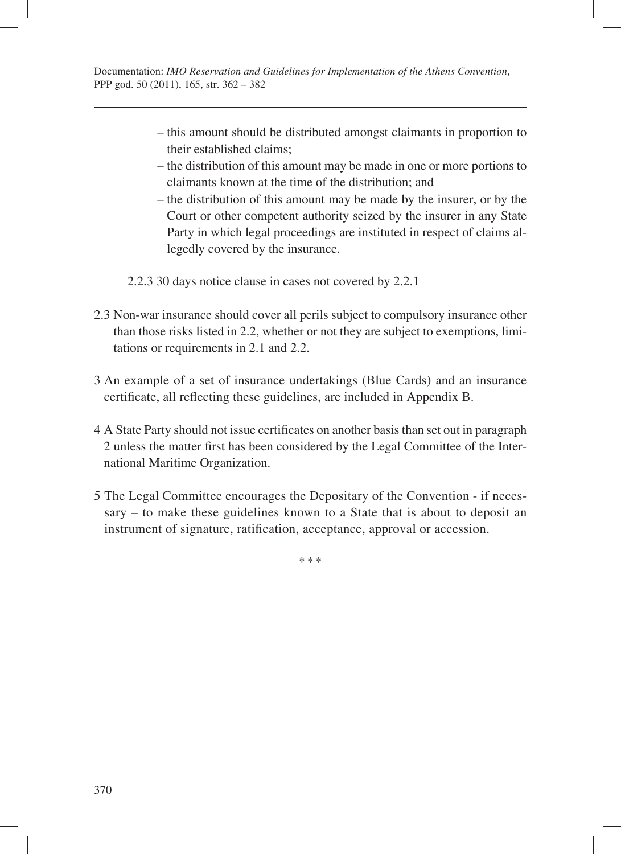- this amount should be distributed amongst claimants in proportion to their established claims;
- the distribution of this amount may be made in one or more portions to claimants known at the time of the distribution; and
- the distribution of this amount may be made by the insurer, or by the Court or other competent authority seized by the insurer in any State Party in which legal proceedings are instituted in respect of claims allegedly covered by the insurance.

2.2.3 30 days notice clause in cases not covered by 2.2.1

- 2.3 Non-war insurance should cover all perils subject to compulsory insurance other than those risks listed in 2.2, whether or not they are subject to exemptions, limitations or requirements in 2.1 and 2.2.
- 3 An example of a set of insurance undertakings (Blue Cards) and an insurance certificate, all reflecting these guidelines, are included in Appendix B.
- 4 A State Party should not issue certificates on another basis than set out in paragraph 2 unless the matter first has been considered by the Legal Committee of the International Maritime Organization.
- 5 The Legal Committee encourages the Depositary of the Convention if necessary – to make these guidelines known to a State that is about to deposit an instrument of signature, ratification, acceptance, approval or accession.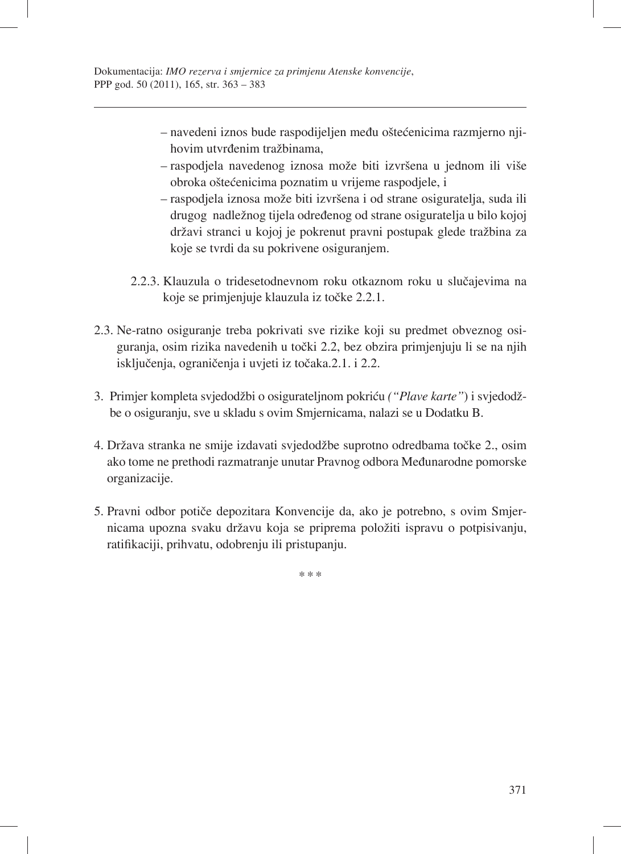- navedeni iznos bude raspodijeljen među oštećenicima razmjerno njihovim utvrđenim tražbinama,
- raspodjela navedenog iznosa može biti izvršena u jednom ili više obroka oštećenicima poznatim u vrijeme raspodjele, i
- raspodjela iznosa može biti izvršena i od strane osiguratelja, suda ili drugog nadležnog tijela određenog od strane osiguratelja u bilo kojoj državi stranci u kojoj je pokrenut pravni postupak glede tražbina za koje se tvrdi da su pokrivene osiguranjem.
- 2.2.3. Klauzula o tridesetodnevnom roku otkaznom roku u slučajevima na koje se primjenjuje klauzula iz točke 2.2.1.
- 2.3. Ne-ratno osiguranje treba pokrivati sve rizike koji su predmet obveznog osiguranja, osim rizika navedenih u točki 2.2, bez obzira primjenjuju li se na njih isključenja, ograničenja i uvjeti iz točaka.2.1. i 2.2.
- 3. Primjer kompleta svjedodžbi o osigurateljnom pokriću *("Plave karte"*) i svjedodžbe o osiguranju, sve u skladu s ovim Smjernicama, nalazi se u Dodatku B.
- 4. Država stranka ne smije izdavati svjedodžbe suprotno odredbama točke 2., osim ako tome ne prethodi razmatranje unutar Pravnog odbora Međunarodne pomorske organizacije.
- 5. Pravni odbor potiče depozitara Konvencije da, ako je potrebno, s ovim Smjernicama upozna svaku državu koja se priprema položiti ispravu o potpisivanju, ratifikaciji, prihvatu, odobrenju ili pristupanju.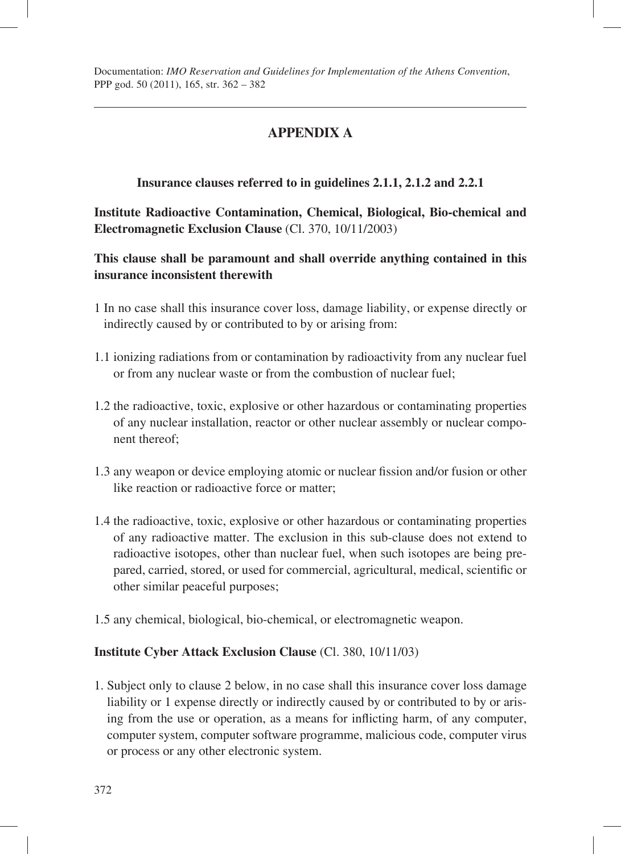# **APPENDIX A**

## **Insurance clauses referred to in guidelines 2.1.1, 2.1.2 and 2.2.1**

**Institute Radioactive Contamination, Chemical, Biological, Bio-chemical and Electromagnetic Exclusion Clause** (Cl. 370, 10/11/2003)

**This clause shall be paramount and shall override anything contained in this insurance inconsistent therewith** 

- 1 In no case shall this insurance cover loss, damage liability, or expense directly or indirectly caused by or contributed to by or arising from:
- 1.1 ionizing radiations from or contamination by radioactivity from any nuclear fuel or from any nuclear waste or from the combustion of nuclear fuel;
- 1.2 the radioactive, toxic, explosive or other hazardous or contaminating properties of any nuclear installation, reactor or other nuclear assembly or nuclear component thereof;
- 1.3 any weapon or device employing atomic or nuclear fission and/or fusion or other like reaction or radioactive force or matter;
- 1.4 the radioactive, toxic, explosive or other hazardous or contaminating properties of any radioactive matter. The exclusion in this sub-clause does not extend to radioactive isotopes, other than nuclear fuel, when such isotopes are being prepared, carried, stored, or used for commercial, agricultural, medical, scientific or other similar peaceful purposes;
- 1.5 any chemical, biological, bio-chemical, or electromagnetic weapon.

#### **Institute Cyber Attack Exclusion Clause** (Cl. 380, 10/11/03)

1. Subject only to clause 2 below, in no case shall this insurance cover loss damage liability or 1 expense directly or indirectly caused by or contributed to by or arising from the use or operation, as a means for inflicting harm, of any computer, computer system, computer software programme, malicious code, computer virus or process or any other electronic system.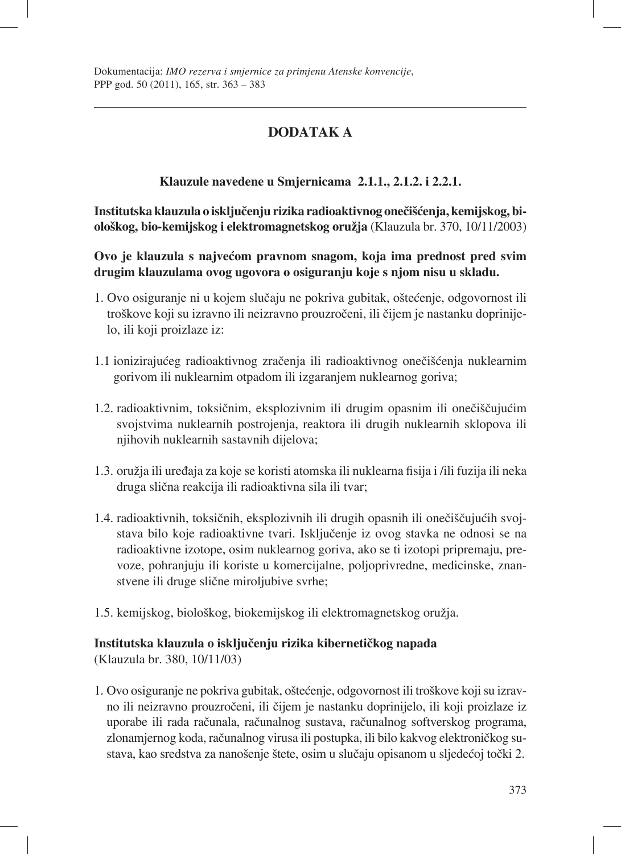# **DODATAK A**

## **Klauzule navedene u Smjernicama 2.1.1., 2.1.2. i 2.2.1.**

**Institutska klauzula o isključenju rizika radioaktivnog onečišćenja, kemijskog, biološkog, bio-kemijskog i elektromagnetskog oružja** (Klauzula br. 370, 10/11/2003)

**Ovo je klauzula s najvećom pravnom snagom, koja ima prednost pred svim drugim klauzulama ovog ugovora o osiguranju koje s njom nisu u skladu.**

- 1. Ovo osiguranje ni u kojem slučaju ne pokriva gubitak, oštećenje, odgovornost ili troškove koji su izravno ili neizravno prouzročeni, ili čijem je nastanku doprinijelo, ili koji proizlaze iz:
- 1.1 ionizirajućeg radioaktivnog zračenja ili radioaktivnog onečišćenja nuklearnim gorivom ili nuklearnim otpadom ili izgaranjem nuklearnog goriva;
- 1.2. radioaktivnim, toksičnim, eksplozivnim ili drugim opasnim ili onečiščujućim svojstvima nuklearnih postrojenja, reaktora ili drugih nuklearnih sklopova ili njihovih nuklearnih sastavnih dijelova;
- 1.3. oružja ili uređaja za koje se koristi atomska ili nuklearna fisija i /ili fuzija ili neka druga slična reakcija ili radioaktivna sila ili tvar;
- 1.4. radioaktivnih, toksičnih, eksplozivnih ili drugih opasnih ili onečiščujućih svojstava bilo koje radioaktivne tvari. Isključenje iz ovog stavka ne odnosi se na radioaktivne izotope, osim nuklearnog goriva, ako se ti izotopi pripremaju, prevoze, pohranjuju ili koriste u komercijalne, poljoprivredne, medicinske, znanstvene ili druge slične miroljubive svrhe;
- 1.5. kemijskog, biološkog, biokemijskog ili elektromagnetskog oružja.

### **Institutska klauzula o isključenju rizika kibernetičkog napada**

(Klauzula br. 380, 10/11/03)

1. Ovo osiguranje ne pokriva gubitak, oštećenje, odgovornost ili troškove koji su izravno ili neizravno prouzročeni, ili čijem je nastanku doprinijelo, ili koji proizlaze iz uporabe ili rada računala, računalnog sustava, računalnog softverskog programa, zlonamjernog koda, računalnog virusa ili postupka, ili bilo kakvog elektroničkog sustava, kao sredstva za nanošenje štete, osim u slučaju opisanom u sljedećoj točki 2.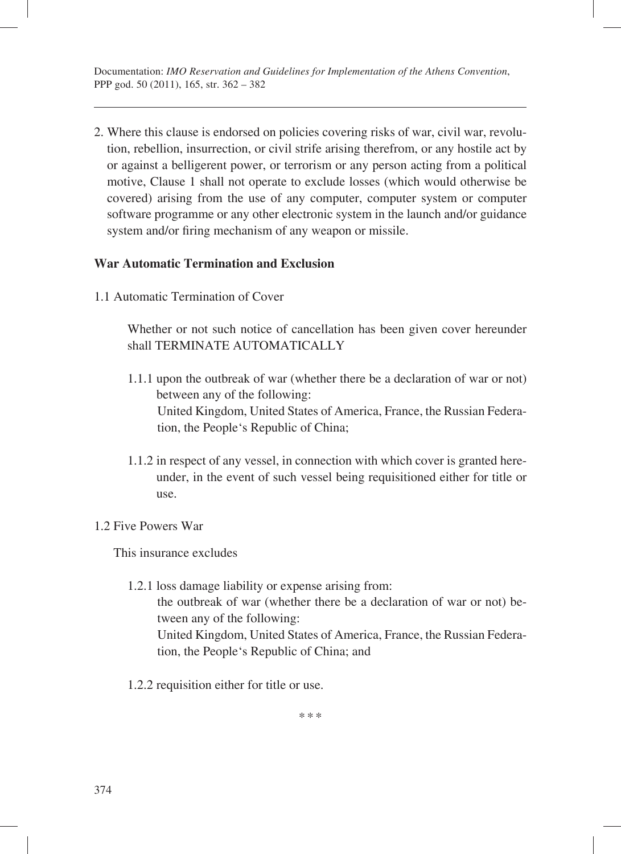2. Where this clause is endorsed on policies covering risks of war, civil war, revolution, rebellion, insurrection, or civil strife arising therefrom, or any hostile act by or against a belligerent power, or terrorism or any person acting from a political motive, Clause 1 shall not operate to exclude losses (which would otherwise be covered) arising from the use of any computer, computer system or computer software programme or any other electronic system in the launch and/or guidance system and/or firing mechanism of any weapon or missile.

#### **War Automatic Termination and Exclusion**

1.1 Automatic Termination of Cover

Whether or not such notice of cancellation has been given cover hereunder shall TERMINATE AUTOMATICALLY

- 1.1.1 upon the outbreak of war (whether there be a declaration of war or not) between any of the following: United Kingdom, United States of America, France, the Russian Federation, the People's Republic of China;
- 1.1.2 in respect of any vessel, in connection with which cover is granted hereunder, in the event of such vessel being requisitioned either for title or use.

#### 1.2 Five Powers War

This insurance excludes

- 1.2.1 loss damage liability or expense arising from: the outbreak of war (whether there be a declaration of war or not) between any of the following: United Kingdom, United States of America, France, the Russian Federation, the People's Republic of China; and
- 1.2.2 requisition either for title or use.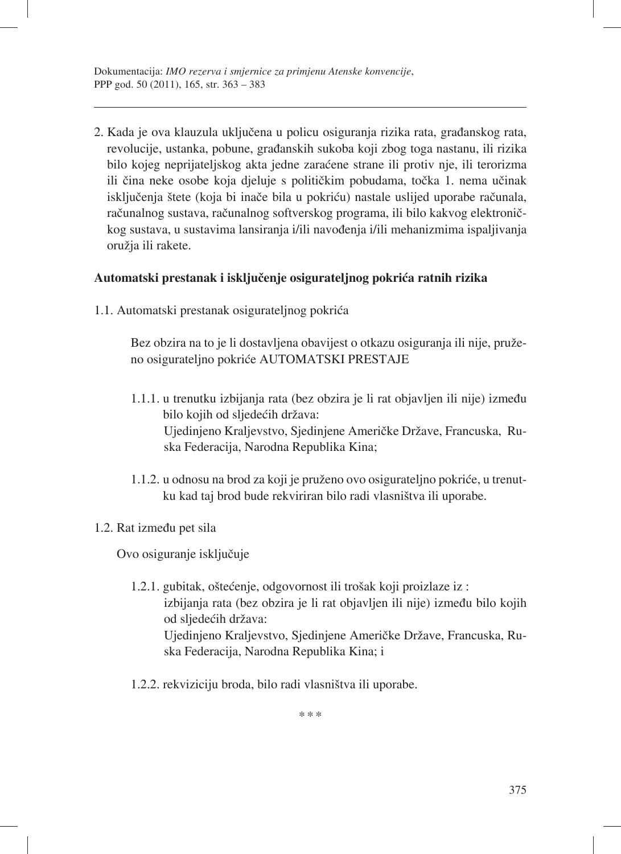2. Kada je ova klauzula uključena u policu osiguranja rizika rata, građanskog rata, revolucije, ustanka, pobune, građanskih sukoba koji zbog toga nastanu, ili rizika bilo kojeg neprijateljskog akta jedne zaraćene strane ili protiv nje, ili terorizma ili čina neke osobe koja djeluje s političkim pobudama, točka 1. nema učinak isključenja štete (koja bi inače bila u pokriću) nastale uslijed uporabe računala, računalnog sustava, računalnog softverskog programa, ili bilo kakvog elektroničkog sustava, u sustavima lansiranja i/ili navođenja i/ili mehanizmima ispaljivanja oružja ili rakete.

### **Automatski prestanak i isključenje osigurateljnog pokrića ratnih rizika**

1.1. Automatski prestanak osigurateljnog pokrića

Bez obzira na to je li dostavljena obavijest o otkazu osiguranja ili nije, pruženo osigurateljno pokriće AUTOMATSKI PRESTAJE

- 1.1.1. u trenutku izbijanja rata (bez obzira je li rat objavljen ili nije) između bilo kojih od sljedećih država: Ujedinjeno Kraljevstvo, Sjedinjene Američke Države, Francuska, Ruska Federacija, Narodna Republika Kina;
- 1.1.2. u odnosu na brod za koji je pruženo ovo osigurateljno pokriće, u trenutku kad taj brod bude rekviriran bilo radi vlasništva ili uporabe.

#### 1.2. Rat između pet sila

Ovo osiguranje isključuje

- 1.2.1. gubitak, oštećenje, odgovornost ili trošak koji proizlaze iz : izbijanja rata (bez obzira je li rat objavljen ili nije) između bilo kojih od sljedećih država: Ujedinjeno Kraljevstvo, Sjedinjene Američke Države, Francuska, Ruska Federacija, Narodna Republika Kina; i
- 1.2.2. rekviziciju broda, bilo radi vlasništva ili uporabe.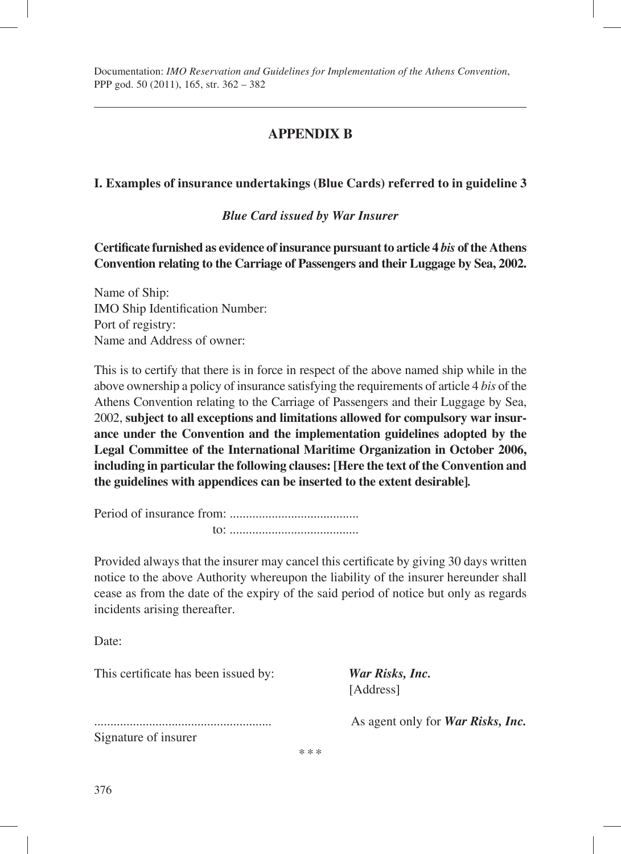# **APPENDIX B**

## **I. Examples of insurance undertakings (Blue Cards) referred to in guideline 3**

*Blue Card issued by War Insurer* 

Certificate furnished as evidence of insurance pursuant to article 4 *bis* of the Athens **Convention relating to the Carriage of Passengers and their Luggage by Sea, 2002.** 

Name of Ship: IMO Ship Identification Number: Port of registry: Name and Address of owner:

This is to certify that there is in force in respect of the above named ship while in the above ownership a policy of insurance satisfying the requirements of article 4 *bis* of the Athens Convention relating to the Carriage of Passengers and their Luggage by Sea, 2002, **subject to all exceptions and limitations allowed for compulsory war insurance under the Convention and the implementation guidelines adopted by the Legal Committee of the International Maritime Organization in October 2006, including in particular the following clauses: [Here the text of the Convention and the guidelines with appendices can be inserted to the extent desirable]***.* 

Period of insurance from: ........................................ to: ........................................

Provided always that the insurer may cancel this certificate by giving 30 days written notice to the above Authority whereupon the liability of the insurer hereunder shall cease as from the date of the expiry of the said period of notice but only as regards incidents arising thereafter.

\*\*\*

Date:

This certificate has been issued by: *War Risks, Inc.* 

[Address]

Signature of insurer

....................................................... As agent only for *War Risks, Inc.*

376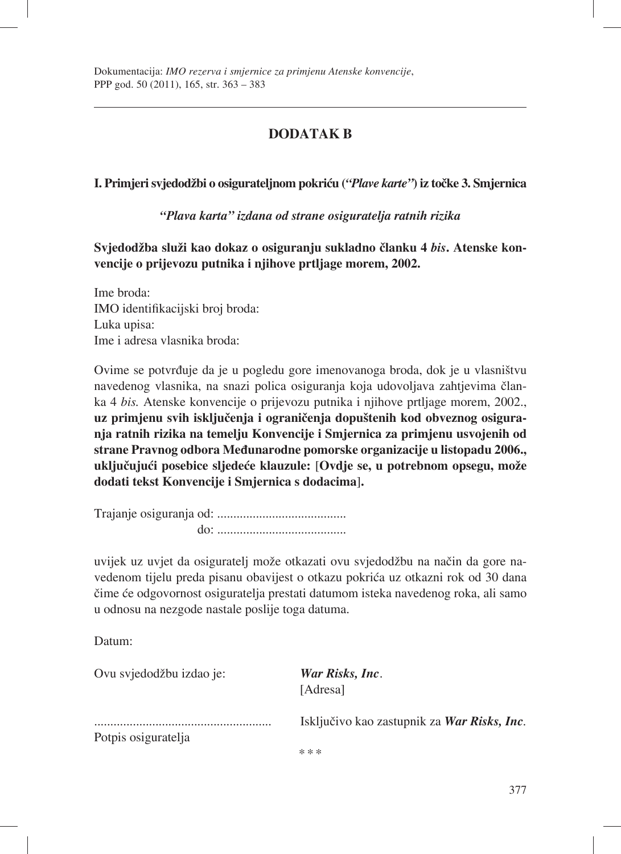# **DODATAK B**

**I. Primjeri svjedodžbi o osigurateljnom pokriću (***"Plave karte"***) iz točke 3. Smjernica**

*"Plava karta" izdana od strane osiguratelja ratnih rizika*

**Svjedodžba služi kao dokaz o osiguranju sukladno članku 4** *bis***. Atenske konvencije o prijevozu putnika i njihove prtljage morem, 2002.**

Ime broda: IMO identifikacijski broj broda: Luka upisa: Ime i adresa vlasnika broda:

Ovime se potvrđuje da je u pogledu gore imenovanoga broda, dok je u vlasništvu navedenog vlasnika, na snazi polica osiguranja koja udovoljava zahtjevima članka 4 *bis.* Atenske konvencije o prijevozu putnika i njihove prtljage morem, 2002., **uz primjenu svih isključenja i ograničenja dopuštenih kod obveznog osiguranja ratnih rizika na temelju Konvencije i Smjernica za primjenu usvojenih od strane Pravnog odbora Međunarodne pomorske organizacije u listopadu 2006., uključujući posebice sljedeće klauzule:** [**Ovdje se, u potrebnom opsegu, može dodati tekst Konvencije i Smjernica s dodacima**]**.**

Trajanje osiguranja od: ........................................ do: ........................................

uvijek uz uvjet da osiguratelj može otkazati ovu svjedodžbu na način da gore navedenom tijelu preda pisanu obavijest o otkazu pokrića uz otkazni rok od 30 dana čime će odgovornost osiguratelja prestati datumom isteka navedenog roka, ali samo u odnosu na nezgode nastale poslije toga datuma.

Datum:

Ovu svjedodžbu izdao je: *War Risks, Inc*.

[Adresa]

Potpis osiguratelja

....................................................... Isključivo kao zastupnik za *War Risks, Inc.*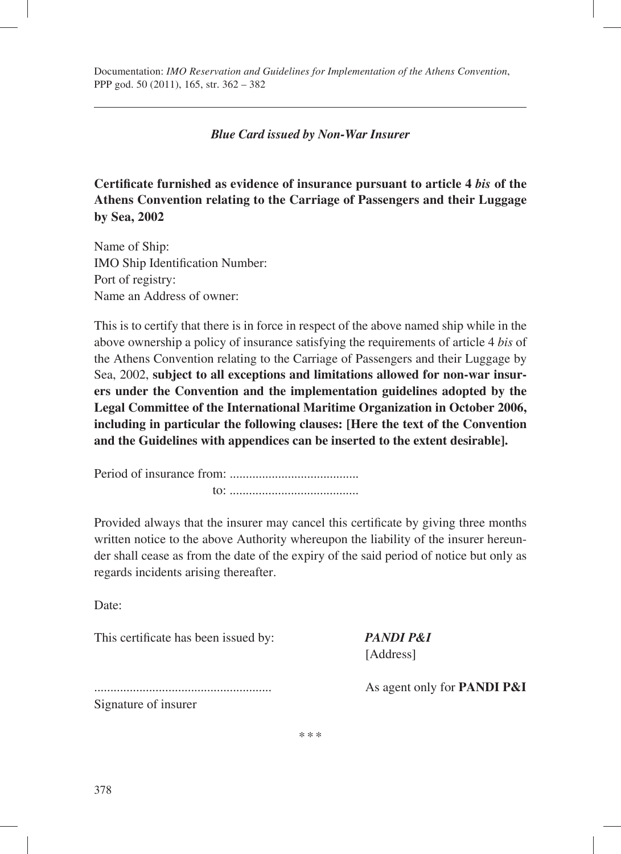#### *Blue Card issued by Non-War Insurer*

**Certifi cate furnished as evidence of insurance pursuant to article 4** *bis* **of the Athens Convention relating to the Carriage of Passengers and their Luggage by Sea, 2002** 

Name of Ship: IMO Ship Identification Number: Port of registry: Name an Address of owner:

This is to certify that there is in force in respect of the above named ship while in the above ownership a policy of insurance satisfying the requirements of article 4 *bis* of the Athens Convention relating to the Carriage of Passengers and their Luggage by Sea, 2002, **subject to all exceptions and limitations allowed for non-war insurers under the Convention and the implementation guidelines adopted by the Legal Committee of the International Maritime Organization in October 2006, including in particular the following clauses: [Here the text of the Convention and the Guidelines with appendices can be inserted to the extent desirable].** 

Period of insurance from: ........................................ to: ........................................

Provided always that the insurer may cancel this certificate by giving three months written notice to the above Authority whereupon the liability of the insurer hereunder shall cease as from the date of the expiry of the said period of notice but only as regards incidents arising thereafter.

\*\*\*

Date:

This certificate has been issued by: *PANDI P&I* 

[Address]

....................................................... As agent only for **PANDI P&I** Signature of insurer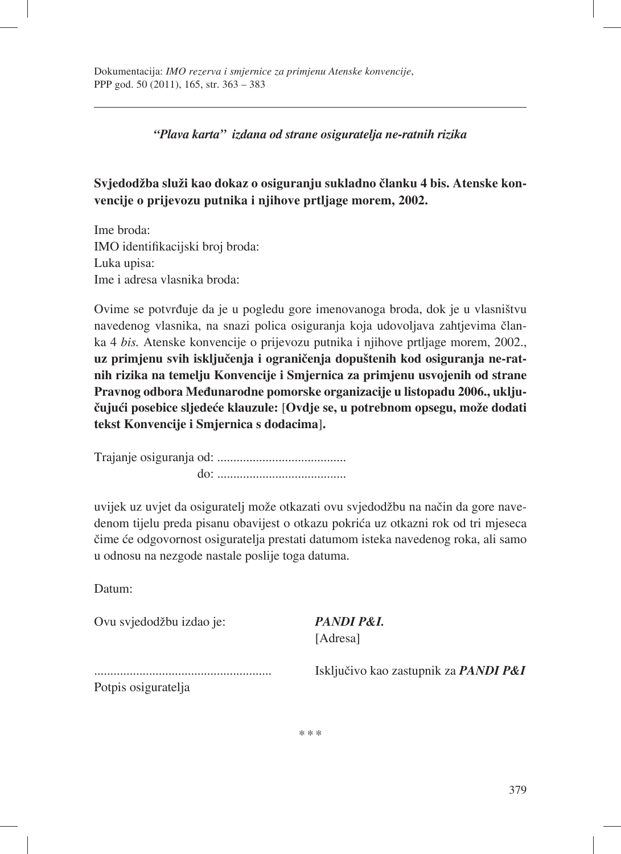*"Plava karta" izdana od strane osiguratelja ne-ratnih rizika*

# **Svjedodžba služi kao dokaz o osiguranju sukladno članku 4 bis. Atenske konvencije o prijevozu putnika i njihove prtljage morem, 2002.**

Ime broda: IMO identifikacijski broj broda: Luka upisa: Ime i adresa vlasnika broda:

Ovime se potvrđuje da je u pogledu gore imenovanoga broda, dok je u vlasništvu navedenog vlasnika, na snazi polica osiguranja koja udovoljava zahtjevima članka 4 *bis.* Atenske konvencije o prijevozu putnika i njihove prtljage morem, 2002., **uz primjenu svih isključenja i ograničenja dopuštenih kod osiguranja ne-ratnih rizika na temelju Konvencije i Smjernica za primjenu usvojenih od strane Pravnog odbora Međunarodne pomorske organizacije u listopadu 2006., uključujući posebice sljedeće klauzule:** [**Ovdje se, u potrebnom opsegu, može dodati tekst Konvencije i Smjernica s dodacima**]**.**

Trajanje osiguranja od: ........................................ do: ........................................

uvijek uz uvjet da osiguratelj može otkazati ovu svjedodžbu na način da gore navedenom tijelu preda pisanu obavijest o otkazu pokrića uz otkazni rok od tri mjeseca čime će odgovornost osiguratelja prestati datumom isteka navedenog roka, ali samo u odnosu na nezgode nastale poslije toga datuma.

Datum:

Ovu svjedodžbu izdao je: *PANDI P&I.*

[Adresa]

Potpis osiguratelja

....................................................... Isključivo kao zastupnik za *PANDI P&I*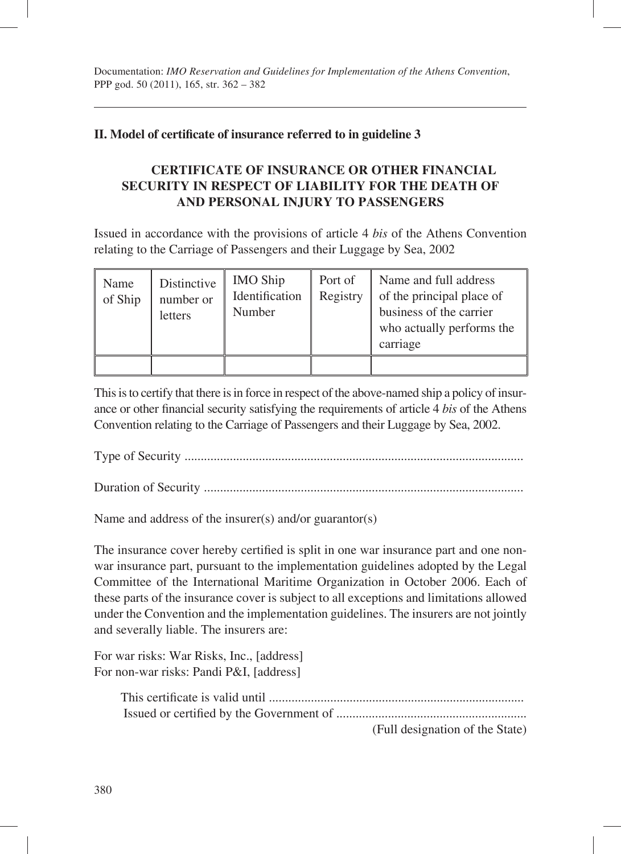## **II.** Model of certificate of insurance referred to in guideline 3

## **CERTIFICATE OF INSURANCE OR OTHER FINANCIAL SECURITY IN RESPECT OF LIABILITY FOR THE DEATH OF AND PERSONAL INJURY TO PASSENGERS**

Issued in accordance with the provisions of article 4 *bis* of the Athens Convention relating to the Carriage of Passengers and their Luggage by Sea, 2002

| Name<br>of Ship | Distinctive<br>number or<br>letters | <b>IMO Ship</b><br>Identification<br>Number | Port of<br>Registry | Name and full address<br>of the principal place of<br>business of the carrier<br>who actually performs the<br>carriage |
|-----------------|-------------------------------------|---------------------------------------------|---------------------|------------------------------------------------------------------------------------------------------------------------|
|                 |                                     |                                             |                     |                                                                                                                        |

This is to certify that there is in force in respect of the above-named ship a policy of insurance or other financial security satisfying the requirements of article 4 *bis* of the Athens Convention relating to the Carriage of Passengers and their Luggage by Sea, 2002.

Type of Security .........................................................................................................

Duration of Security ...................................................................................................

Name and address of the insurer(s) and/or guarantor(s)

The insurance cover hereby certified is split in one war insurance part and one nonwar insurance part, pursuant to the implementation guidelines adopted by the Legal Committee of the International Maritime Organization in October 2006. Each of these parts of the insurance cover is subject to all exceptions and limitations allowed under the Convention and the implementation guidelines. The insurers are not jointly and severally liable. The insurers are:

For war risks: War Risks, Inc., [address] For non-war risks: Pandi P&I, [address]

|  |  |  | $\sqrt{12}$ 11 1 $\sqrt{12}$ $\sqrt{12}$ $\sqrt{12}$ $\sqrt{12}$ $\sqrt{12}$ |  |
|--|--|--|------------------------------------------------------------------------------|--|

(Full designation of the State)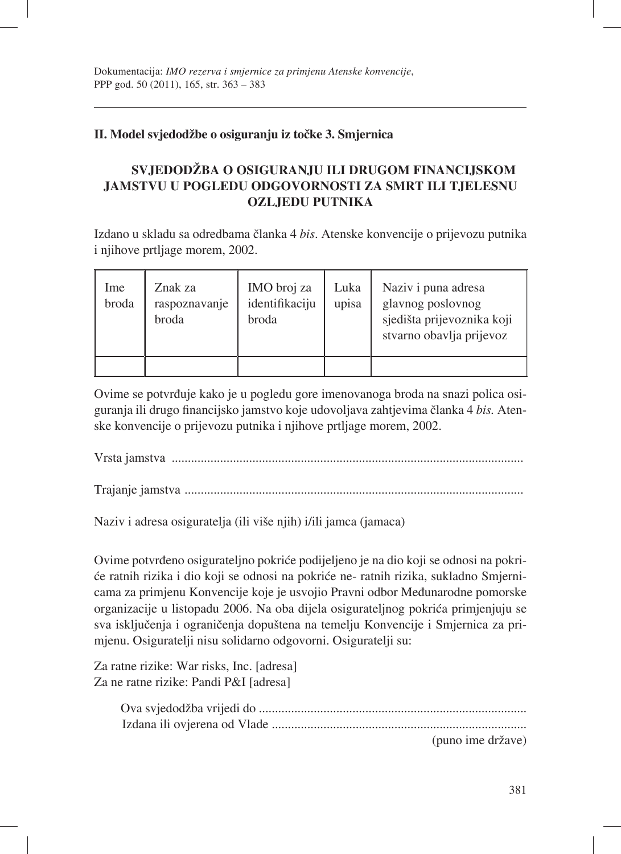## **II. Model svjedodžbe o osiguranju iz točke 3. Smjernica**

# **SVJEDODŽBA O OSIGURANJU ILI DRUGOM FINANCIJSKOM JAMSTVU U POGLEDU ODGOVORNOSTI ZA SMRT ILI TJELESNU OZLJEDU PUTNIKA**

Izdano u skladu sa odredbama članka 4 *bis*. Atenske konvencije o prijevozu putnika i njihove prtljage morem, 2002.

| Ime<br>broda | Znak za<br>raspoznavanje<br>broda | IMO broj za<br>identifikaciju<br>broda | Luka<br>upisa | Naziv i puna adresa<br>glavnog poslovnog<br>sjedišta prijevoznika koji<br>stvarno obavlja prijevoz |
|--------------|-----------------------------------|----------------------------------------|---------------|----------------------------------------------------------------------------------------------------|
|              |                                   |                                        |               |                                                                                                    |

Ovime se potvrđuje kako je u pogledu gore imenovanoga broda na snazi polica osiguranja ili drugo financijsko jamstvo koje udovoljava zahtjevima članka 4 *bis*. Atenske konvencije o prijevozu putnika i njihove prtljage morem, 2002.

Vrsta jamstva .............................................................................................................

Trajanje jamstva .........................................................................................................

Naziv i adresa osiguratelja (ili više njih) i/ili jamca (jamaca)

Ovime potvrđeno osigurateljno pokriće podijeljeno je na dio koji se odnosi na pokriće ratnih rizika i dio koji se odnosi na pokriće ne- ratnih rizika, sukladno Smjernicama za primjenu Konvencije koje je usvojio Pravni odbor Međunarodne pomorske organizacije u listopadu 2006. Na oba dijela osigurateljnog pokrića primjenjuju se sva isključenja i ograničenja dopuštena na temelju Konvencije i Smjernica za primjenu. Osiguratelji nisu solidarno odgovorni. Osiguratelji su:

Za ratne rizike: War risks, Inc. [adresa] Za ne ratne rizike: Pandi P&I [adresa]

| (puno ime države) |
|-------------------|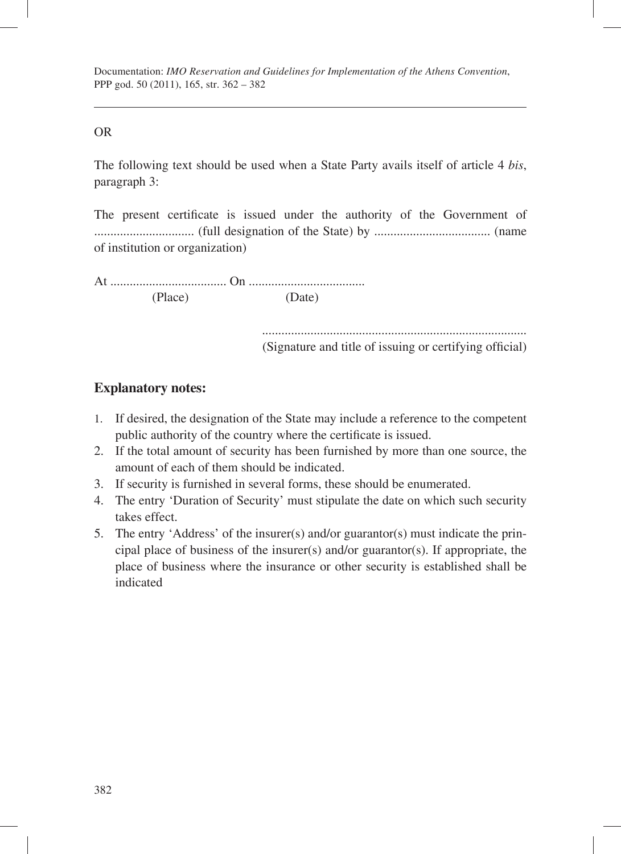Documentation: *IMO Reservation and Guidelines for Implementation of the Athens Convention*, PPP god. 50 (2011), 165, str. 362 – 382

#### OR

The following text should be used when a State Party avails itself of article 4 *bis*, paragraph 3:

The present certificate is issued under the authority of the Government of ............................... (full designation of the State) by .................................... (name of institution or organization)

At .................................... On .................................... (Place) (Date)

> .................................................................................. (Signature and title of issuing or certifying official)

### **Explanatory notes:**

- 1. If desired, the designation of the State may include a reference to the competent public authority of the country where the certificate is issued.
- 2. If the total amount of security has been furnished by more than one source, the amount of each of them should be indicated.
- 3. If security is furnished in several forms, these should be enumerated.
- 4. The entry 'Duration of Security' must stipulate the date on which such security takes effect.
- 5. The entry 'Address' of the insurer(s) and/or guarantor(s) must indicate the principal place of business of the insurer(s) and/or guarantor(s). If appropriate, the place of business where the insurance or other security is established shall be indicated